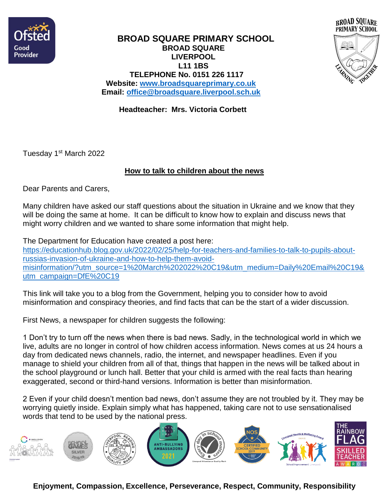



## **BROAD SQUARE PRIMARY SCHOOL BROAD SQUARE LIVERPOOL L11 1BS TELEPHONE No. 0151 226 1117 Website: [www.broadsquareprimary.co.uk](http://www.broadsquareprimary.co.uk/) Email: [office@broadsquare.liverpool.sch.uk](mailto:office@broadsquare.liverpool.sch.uk)**

 **Headteacher: Mrs. Victoria Corbett**

Tuesday 1st March 2022

## **How to talk to children about the news**

Dear Parents and Carers,

Many children have asked our staff questions about the situation in Ukraine and we know that they will be doing the same at home. It can be difficult to know how to explain and discuss news that might worry children and we wanted to share some information that might help.

The Department for Education have created a post here: [https://educationhub.blog.gov.uk/2022/02/25/help-for-teachers-and-families-to-talk-to-pupils-about](https://educationhub.blog.gov.uk/2022/02/25/help-for-teachers-and-families-to-talk-to-pupils-about-russias-invasion-of-ukraine-and-how-to-help-them-avoid-misinformation/?utm_source=1%20March%202022%20C19&utm_medium=Daily%20Email%20C19&utm_campaign=DfE%20C19)[russias-invasion-of-ukraine-and-how-to-help-them-avoid](https://educationhub.blog.gov.uk/2022/02/25/help-for-teachers-and-families-to-talk-to-pupils-about-russias-invasion-of-ukraine-and-how-to-help-them-avoid-misinformation/?utm_source=1%20March%202022%20C19&utm_medium=Daily%20Email%20C19&utm_campaign=DfE%20C19)[misinformation/?utm\\_source=1%20March%202022%20C19&utm\\_medium=Daily%20Email%20C19&](https://educationhub.blog.gov.uk/2022/02/25/help-for-teachers-and-families-to-talk-to-pupils-about-russias-invasion-of-ukraine-and-how-to-help-them-avoid-misinformation/?utm_source=1%20March%202022%20C19&utm_medium=Daily%20Email%20C19&utm_campaign=DfE%20C19) [utm\\_campaign=DfE%20C19](https://educationhub.blog.gov.uk/2022/02/25/help-for-teachers-and-families-to-talk-to-pupils-about-russias-invasion-of-ukraine-and-how-to-help-them-avoid-misinformation/?utm_source=1%20March%202022%20C19&utm_medium=Daily%20Email%20C19&utm_campaign=DfE%20C19)

This link will take you to a blog from the Government, helping you to consider how to avoid misinformation and conspiracy theories, and find facts that can be the start of a wider discussion.

First News, a newspaper for children suggests the following:

1 Don't try to turn off the news when there is bad news. Sadly, in the technological world in which we live, adults are no longer in control of how children access information. News comes at us 24 hours a day from dedicated news channels, radio, the internet, and newspaper headlines. Even if you manage to shield your children from all of that, things that happen in the news will be talked about in the school playground or lunch hall. Better that your child is armed with the real facts than hearing exaggerated, second or third-hand versions. Information is better than misinformation.

2 Even if your child doesn't mention bad news, don't assume they are not troubled by it. They may be worrying quietly inside. Explain simply what has happened, taking care not to use sensationalised words that tend to be used by the national press.



**Enjoyment, Compassion, Excellence, Perseverance, Respect, Community, Responsibility**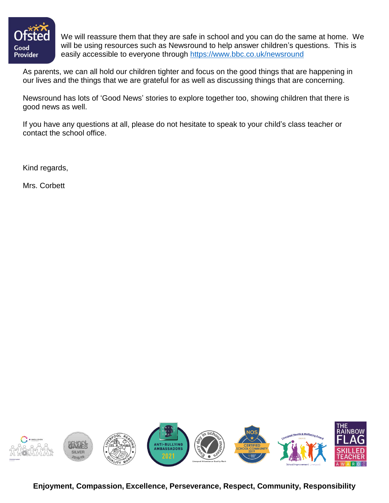

We will reassure them that they are safe in school and you can do the same at home. We will be using resources such as Newsround to help answer children's questions. This is easily accessible to everyone through<https://www.bbc.co.uk/newsround>

As parents, we can all hold our children tighter and focus on the good things that are happening in our lives and the things that we are grateful for as well as discussing things that are concerning.

Newsround has lots of 'Good News' stories to explore together too, showing children that there is good news as well.

If you have any questions at all, please do not hesitate to speak to your child's class teacher or contact the school office.

Kind regards,

Mrs. Corbett



**Enjoyment, Compassion, Excellence, Perseverance, Respect, Community, Responsibility**